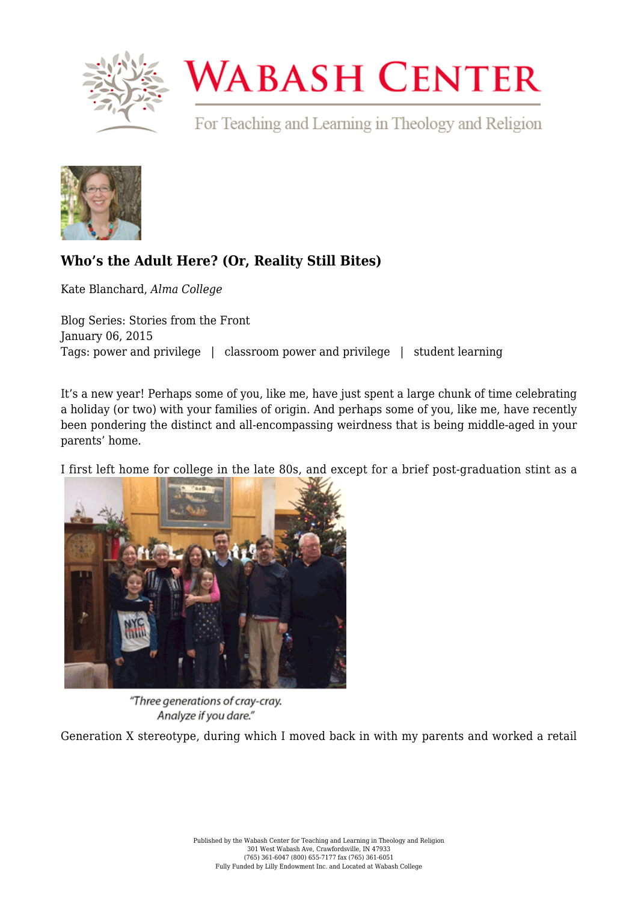

## **WABASH CENTER**

For Teaching and Learning in Theology and Religion



## **[Who's the Adult Here? \(Or, Reality Still Bites\)](https://www.wabashcenter.wabash.edu/2015/01/whos-the-adult-here-or-reality-still-bites/)**

Kate Blanchard, *Alma College*

Blog Series: Stories from the Front January 06, 2015 Tags: power and privilege | classroom power and privilege | student learning

It's a new year! Perhaps some of you, like me, have just spent a large chunk of time celebrating a holiday (or two) with your families of origin. And perhaps some of you, like me, have recently been pondering the distinct and all-encompassing weirdness that is being middle-aged in your parents' home.

I first left home for college in the late 80s, and except for a brief post-graduation stint as a



"Three generations of cray-cray. Analyze if you dare."

Generation X stereotype, during which I moved back in with my parents and worked a retail